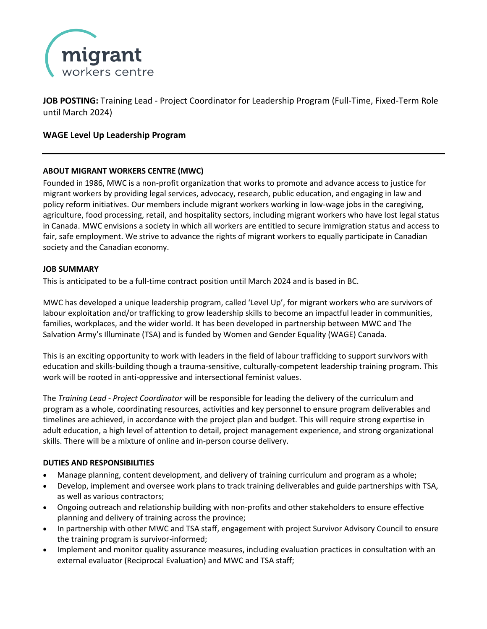

**JOB POSTING:** Training Lead - Project Coordinator for Leadership Program (Full-Time, Fixed-Term Role until March 2024)

# **WAGE Level Up Leadership Program**

# **ABOUT MIGRANT WORKERS CENTRE (MWC)**

Founded in 1986, MWC is a non-profit organization that works to promote and advance access to justice for migrant workers by providing legal services, advocacy, research, public education, and engaging in law and policy reform initiatives. Our members include migrant workers working in low-wage jobs in the caregiving, agriculture, food processing, retail, and hospitality sectors, including migrant workers who have lost legal status in Canada. MWC envisions a society in which all workers are entitled to secure immigration status and access to fair, safe employment. We strive to advance the rights of migrant workers to equally participate in Canadian society and the Canadian economy.

#### **JOB SUMMARY**

This is anticipated to be a full-time contract position until March 2024 and is based in BC.

MWC has developed a unique leadership program, called 'Level Up', for migrant workers who are survivors of labour exploitation and/or trafficking to grow leadership skills to become an impactful leader in communities, families, workplaces, and the wider world. It has been developed in partnership between MWC and The Salvation Army's Illuminate (TSA) and is funded by Women and Gender Equality (WAGE) Canada.

This is an exciting opportunity to work with leaders in the field of labour trafficking to support survivors with education and skills-building though a trauma-sensitive, culturally-competent leadership training program. This work will be rooted in anti-oppressive and intersectional feminist values.

The *Training Lead - Project Coordinator* will be responsible for leading the delivery of the curriculum and program as a whole, coordinating resources, activities and key personnel to ensure program deliverables and timelines are achieved, in accordance with the project plan and budget. This will require strong expertise in adult education, a high level of attention to detail, project management experience, and strong organizational skills. There will be a mixture of online and in-person course delivery.

# **DUTIES AND RESPONSIBILITIES**

- Manage planning, content development, and delivery of training curriculum and program as a whole;
- Develop, implement and oversee work plans to track training deliverables and guide partnerships with TSA, as well as various contractors;
- Ongoing outreach and relationship building with non-profits and other stakeholders to ensure effective planning and delivery of training across the province;
- In partnership with other MWC and TSA staff, engagement with project Survivor Advisory Council to ensure the training program is survivor-informed;
- Implement and monitor quality assurance measures, including evaluation practices in consultation with an external evaluator (Reciprocal Evaluation) and MWC and TSA staff;